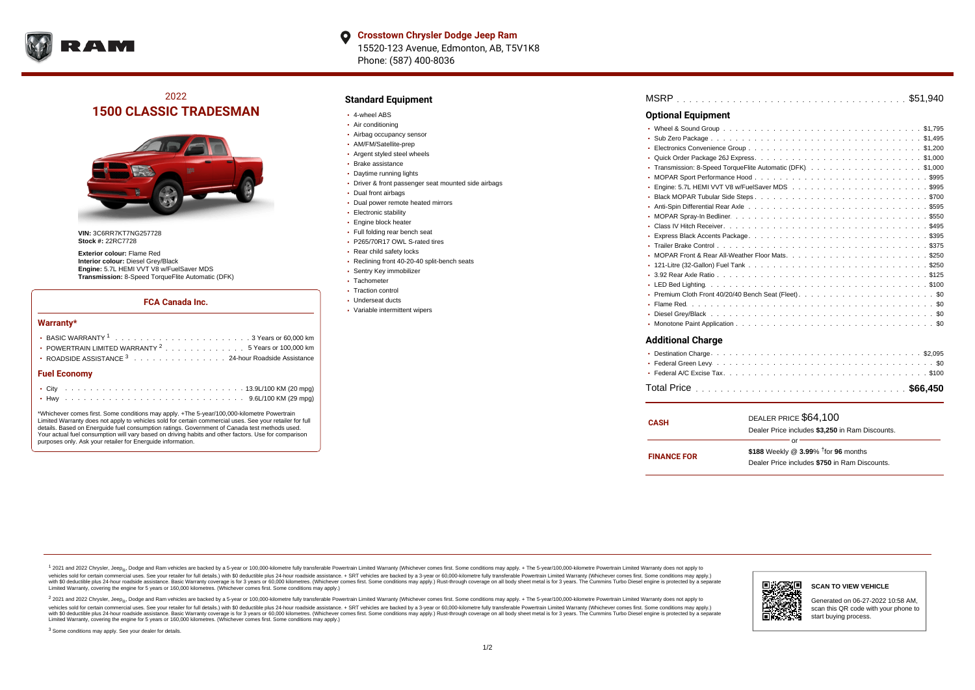

# 2022 **1500 CLASSIC TRADESMAN**



**VIN:** 3C6RR7KT7NG257728 **Stock #:** 22RC7728

**Exterior colour:** Flame Red **Interior colour:** Diesel Grey/Black **Engine:** 5.7L HEMI VVT V8 w/FuelSaver MDS **Transmission:** 8-Speed TorqueFlite Automatic (DFK)

#### **FCA Canada Inc.**

#### **Warranty\***

| → BASIC WARRANTY <sup>1</sup> ,,,,,,,,,,,,,,,,,,,,,,,3 Years or 60,000 km<br>• POWERTRAIN LIMITED WARRANTY <sup>2</sup> 5 Years or 100,000 km<br>• ROADSIDE ASSISTANCE 3 24-hour Roadside Assistance |  |  |  |  |  |  |  |  |  |  |  |  |  |  |  |  |
|------------------------------------------------------------------------------------------------------------------------------------------------------------------------------------------------------|--|--|--|--|--|--|--|--|--|--|--|--|--|--|--|--|
| <b>Fuel Economy</b>                                                                                                                                                                                  |  |  |  |  |  |  |  |  |  |  |  |  |  |  |  |  |
|                                                                                                                                                                                                      |  |  |  |  |  |  |  |  |  |  |  |  |  |  |  |  |
|                                                                                                                                                                                                      |  |  |  |  |  |  |  |  |  |  |  |  |  |  |  |  |

\*Whichever comes first. Some conditions may apply. +The 5-year/100,000-kilometre Powertrain Limited Warranty does not apply to vehicles sold for certain commercial uses. See your retailer for full details. Based on Energuide fuel consumption ratings. Government of Canada test methods used. Your actual fuel consumption will vary based on driving habits and other factors. Use for comparison purposes only. Ask your retailer for Energuide information.

### **Standard Equipment**

- 4-wheel ABS
- Air conditioning
- Airbag occupancy sensor
- AM/FM/Satellite-prep
- Argent styled steel wheels
- Brake assistance
- Daytime running lights
- Driver & front passenger seat mounted side airbags
- Dual front airbags
- Dual power remote heated mirrors
- **Electronic stability**
- Engine block heater
- Full folding rear bench seat
- P265/70R17 OWL S-rated tires
- Rear child safety locks
- Reclining front 40-20-40 split-bench seats
- Sentry Key immobilizer
- Tachometer
- Traction control
- Underseat ducts
- Variable intermittent wipers

| <b>Optional Equipment</b>                                       |  |  |  |  |  |  |  |  |  |  |  |  |  |
|-----------------------------------------------------------------|--|--|--|--|--|--|--|--|--|--|--|--|--|
|                                                                 |  |  |  |  |  |  |  |  |  |  |  |  |  |
| ٠                                                               |  |  |  |  |  |  |  |  |  |  |  |  |  |
| ٠                                                               |  |  |  |  |  |  |  |  |  |  |  |  |  |
| ٠                                                               |  |  |  |  |  |  |  |  |  |  |  |  |  |
| Transmission: 8-Speed TorqueFlite Automatic (DFK). \$1,000<br>٠ |  |  |  |  |  |  |  |  |  |  |  |  |  |
| ۰                                                               |  |  |  |  |  |  |  |  |  |  |  |  |  |
| ٠                                                               |  |  |  |  |  |  |  |  |  |  |  |  |  |
| ٠                                                               |  |  |  |  |  |  |  |  |  |  |  |  |  |
| ٠                                                               |  |  |  |  |  |  |  |  |  |  |  |  |  |
|                                                                 |  |  |  |  |  |  |  |  |  |  |  |  |  |
| ٠                                                               |  |  |  |  |  |  |  |  |  |  |  |  |  |
|                                                                 |  |  |  |  |  |  |  |  |  |  |  |  |  |
|                                                                 |  |  |  |  |  |  |  |  |  |  |  |  |  |
| ۰                                                               |  |  |  |  |  |  |  |  |  |  |  |  |  |
| ٠                                                               |  |  |  |  |  |  |  |  |  |  |  |  |  |
| ٠                                                               |  |  |  |  |  |  |  |  |  |  |  |  |  |
| ٠                                                               |  |  |  |  |  |  |  |  |  |  |  |  |  |
| ٠                                                               |  |  |  |  |  |  |  |  |  |  |  |  |  |
| ٠                                                               |  |  |  |  |  |  |  |  |  |  |  |  |  |
| ٠                                                               |  |  |  |  |  |  |  |  |  |  |  |  |  |
| ٠                                                               |  |  |  |  |  |  |  |  |  |  |  |  |  |
| <b>Additional Charge</b>                                        |  |  |  |  |  |  |  |  |  |  |  |  |  |

| <b>CASH</b>        | DEALER PRICE \$64,100                              |  |  |  |  |  |  |  |
|--------------------|----------------------------------------------------|--|--|--|--|--|--|--|
|                    | Dealer Price includes \$3.250 in Ram Discounts.    |  |  |  |  |  |  |  |
|                    | Ωr                                                 |  |  |  |  |  |  |  |
| <b>FINANCE FOR</b> | \$188 Weekly @ $3.99\%$ <sup>†</sup> for 96 months |  |  |  |  |  |  |  |
|                    | Dealer Price includes \$750 in Ram Discounts.      |  |  |  |  |  |  |  |
|                    |                                                    |  |  |  |  |  |  |  |

<sup>1</sup> 2021 and 2022 Chrysler, Jeep<sub>®</sub>, Dodge and Ram vehicles are backed by a 5-year or 100,000-kilometre fully transferable Powertrain Limited Warranty (Whichever comes first. Some conditions may apply. + The 5-year/100,000 vehicles sold for certain commercial uses. See your retailer for full details.) with \$0 deductible plus 24-hour roadside assistance. + SRT vehicles are backed by a 3-year or 60,000-kilometre fully transferable Powertrain L versus and contract the mean of the contract of the contract with a contract with a contract the contract of the contract of the contract the contract of the contract of the contract of the contract of the contract of the Limited Warranty, covering the engine for 5 years or 160,000 kilometres. (Whichever comes first. Some conditions may apply.)

2 2021 and 2022 Chrysler, Jeep<sub>®</sub>, Dodge and Ram vehicles are backed by a 5-year or 100,000-kilometre fully transferable Powertrain Limited Warranty (Whichever comes first. Some conditions may apply. + The 5-year/100,000-k vehicles sold for certain commercial uses. See your retailer for full details.) with SO deductible plus 24-hour roadside assistance. + SRT vehicles are backed by a 3-year or 60.000-kilometre fully transferable Powertrain. with S0 deductible plus 24-hour roadside assistance. Basic Warranty coverage is for 3 years or 60,000 kilometres. (Whichever comes first. Some conditions may apply.) Rust-through coverage on all body sheet metal is for 3 y

<sup>3</sup> Some conditions may apply. See your dealer for details.



Generated on 06-27-2022 10:58 AM, scan this QR code with your phone to start buying process.